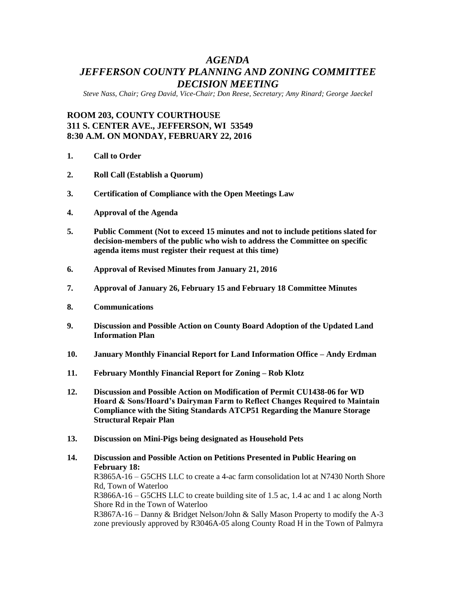## *AGENDA JEFFERSON COUNTY PLANNING AND ZONING COMMITTEE DECISION MEETING*

*Steve Nass, Chair; Greg David, Vice-Chair; Don Reese, Secretary; Amy Rinard; George Jaeckel*

## **ROOM 203, COUNTY COURTHOUSE 311 S. CENTER AVE., JEFFERSON, WI 53549 8:30 A.M. ON MONDAY, FEBRUARY 22, 2016**

- **1. Call to Order**
- **2. Roll Call (Establish a Quorum)**
- **3. Certification of Compliance with the Open Meetings Law**
- **4. Approval of the Agenda**
- **5. Public Comment (Not to exceed 15 minutes and not to include petitions slated for decision-members of the public who wish to address the Committee on specific agenda items must register their request at this time)**
- **6. Approval of Revised Minutes from January 21, 2016**
- **7. Approval of January 26, February 15 and February 18 Committee Minutes**
- **8. Communications**
- **9. Discussion and Possible Action on County Board Adoption of the Updated Land Information Plan**
- **10. January Monthly Financial Report for Land Information Office – Andy Erdman**
- **11. February Monthly Financial Report for Zoning – Rob Klotz**
- **12. Discussion and Possible Action on Modification of Permit CU1438-06 for WD Hoard & Sons/Hoard's Dairyman Farm to Reflect Changes Required to Maintain Compliance with the Siting Standards ATCP51 Regarding the Manure Storage Structural Repair Plan**
- **13. Discussion on Mini-Pigs being designated as Household Pets**
- **14. Discussion and Possible Action on Petitions Presented in Public Hearing on February 18:** R3865A-16 – G5CHS LLC to create a 4-ac farm consolidation lot at N7430 North Shore

Rd, Town of Waterloo R3866A-16 – G5CHS LLC to create building site of 1.5 ac, 1.4 ac and 1 ac along North

Shore Rd in the Town of Waterloo

R3867A-16 – Danny & Bridget Nelson/John & Sally Mason Property to modify the A-3 zone previously approved by R3046A-05 along County Road H in the Town of Palmyra